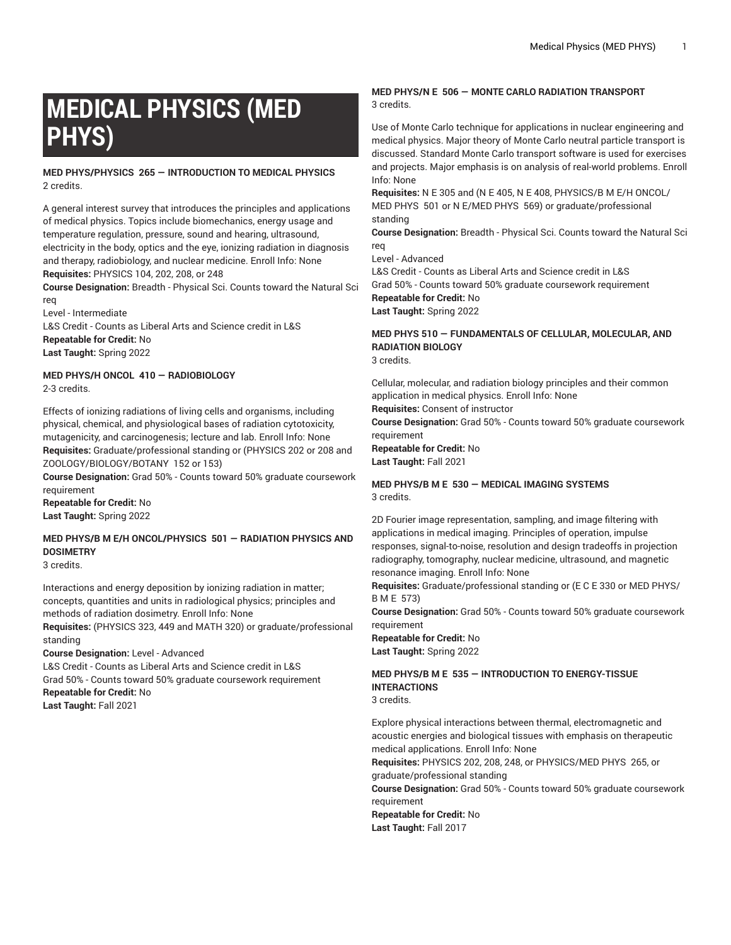# **MEDICAL PHYSICS (MED PHYS)**

**MED PHYS/PHYSICS 265 — INTRODUCTION TO MEDICAL PHYSICS** 2 credits.

A general interest survey that introduces the principles and applications of medical physics. Topics include biomechanics, energy usage and temperature regulation, pressure, sound and hearing, ultrasound, electricity in the body, optics and the eye, ionizing radiation in diagnosis and therapy, radiobiology, and nuclear medicine. Enroll Info: None **Requisites:** PHYSICS 104, 202, 208, or 248

**Course Designation:** Breadth - Physical Sci. Counts toward the Natural Sci req

Level - Intermediate L&S Credit - Counts as Liberal Arts and Science credit in L&S **Repeatable for Credit:** No **Last Taught:** Spring 2022

**MED PHYS/H ONCOL 410 — RADIOBIOLOGY** 2-3 credits.

Effects of ionizing radiations of living cells and organisms, including physical, chemical, and physiological bases of radiation cytotoxicity, mutagenicity, and carcinogenesis; lecture and lab. Enroll Info: None **Requisites:** Graduate/professional standing or (PHYSICS 202 or 208 and ZOOLOGY/BIOLOGY/BOTANY 152 or 153)

**Course Designation:** Grad 50% - Counts toward 50% graduate coursework requirement

**Repeatable for Credit:** No **Last Taught:** Spring 2022

## **MED PHYS/B M E/H ONCOL/PHYSICS 501 — RADIATION PHYSICS AND DOSIMETRY**

3 credits.

Interactions and energy deposition by ionizing radiation in matter; concepts, quantities and units in radiological physics; principles and methods of radiation dosimetry. Enroll Info: None

**Requisites:** (PHYSICS 323, 449 and MATH 320) or graduate/professional standing

**Course Designation:** Level - Advanced

L&S Credit - Counts as Liberal Arts and Science credit in L&S Grad 50% - Counts toward 50% graduate coursework requirement **Repeatable for Credit:** No **Last Taught:** Fall 2021

#### **MED PHYS/N E 506 — MONTE CARLO RADIATION TRANSPORT** 3 credits.

Use of Monte Carlo technique for applications in nuclear engineering and medical physics. Major theory of Monte Carlo neutral particle transport is discussed. Standard Monte Carlo transport software is used for exercises and projects. Major emphasis is on analysis of real-world problems. Enroll Info: None

**Requisites:** N E 305 and (N E 405, N E 408, PHYSICS/B M E/H ONCOL/ MED PHYS 501 or N E/MED PHYS 569) or graduate/professional standing

**Course Designation:** Breadth - Physical Sci. Counts toward the Natural Sci req

Level - Advanced

L&S Credit - Counts as Liberal Arts and Science credit in L&S Grad 50% - Counts toward 50% graduate coursework requirement **Repeatable for Credit:** No **Last Taught:** Spring 2022

## **MED PHYS 510 — FUNDAMENTALS OF CELLULAR, MOLECULAR, AND RADIATION BIOLOGY**

3 credits.

Cellular, molecular, and radiation biology principles and their common application in medical physics. Enroll Info: None **Requisites:** Consent of instructor **Course Designation:** Grad 50% - Counts toward 50% graduate coursework requirement **Repeatable for Credit:** No **Last Taught:** Fall 2021

#### **MED PHYS/B M E 530 — MEDICAL IMAGING SYSTEMS** 3 credits.

2D Fourier image representation, sampling, and image filtering with applications in medical imaging. Principles of operation, impulse responses, signal-to-noise, resolution and design tradeoffs in projection radiography, tomography, nuclear medicine, ultrasound, and magnetic resonance imaging. Enroll Info: None

**Requisites:** Graduate/professional standing or (E C E 330 or MED PHYS/ B M E 573)

**Course Designation:** Grad 50% - Counts toward 50% graduate coursework requirement

**Repeatable for Credit:** No **Last Taught:** Spring 2022

## **MED PHYS/B M E 535 — INTRODUCTION TO ENERGY-TISSUE INTERACTIONS**

3 credits.

Explore physical interactions between thermal, electromagnetic and acoustic energies and biological tissues with emphasis on therapeutic medical applications. Enroll Info: None

**Requisites:** PHYSICS 202, 208, 248, or PHYSICS/MED PHYS 265, or graduate/professional standing

**Course Designation:** Grad 50% - Counts toward 50% graduate coursework requirement

**Repeatable for Credit:** No **Last Taught:** Fall 2017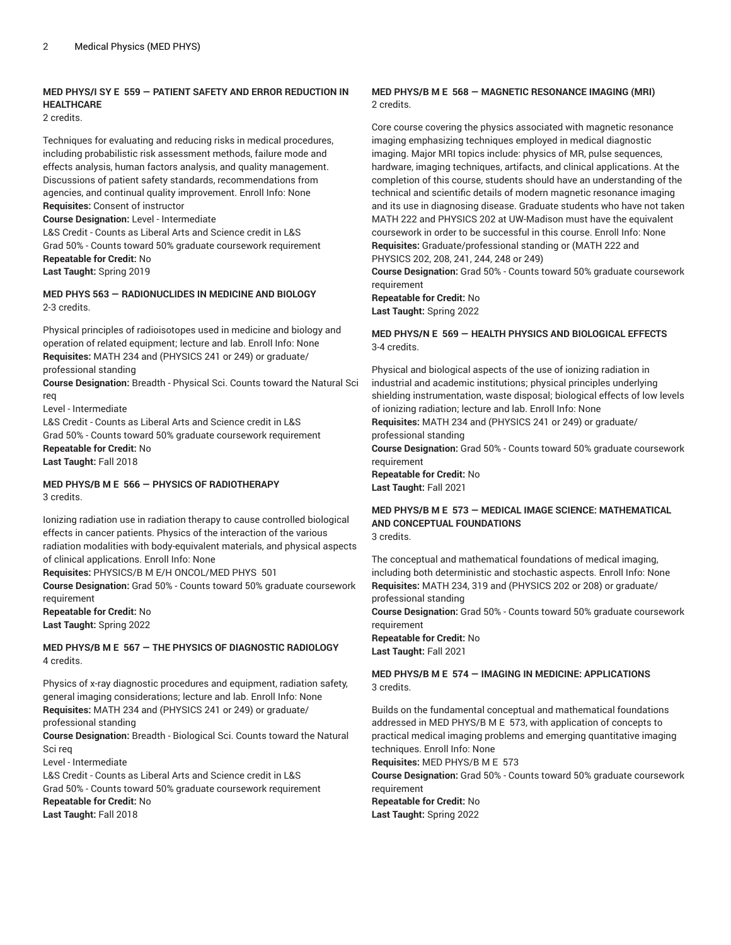#### **MED PHYS/I SY E 559 — PATIENT SAFETY AND ERROR REDUCTION IN HEALTHCARE**

2 credits.

Techniques for evaluating and reducing risks in medical procedures, including probabilistic risk assessment methods, failure mode and effects analysis, human factors analysis, and quality management. Discussions of patient safety standards, recommendations from agencies, and continual quality improvement. Enroll Info: None **Requisites:** Consent of instructor

**Course Designation:** Level - Intermediate

L&S Credit - Counts as Liberal Arts and Science credit in L&S Grad 50% - Counts toward 50% graduate coursework requirement **Repeatable for Credit:** No

**Last Taught:** Spring 2019

#### **MED PHYS 563 — RADIONUCLIDES IN MEDICINE AND BIOLOGY** 2-3 credits.

Physical principles of radioisotopes used in medicine and biology and operation of related equipment; lecture and lab. Enroll Info: None **Requisites:** MATH 234 and (PHYSICS 241 or 249) or graduate/ professional standing

**Course Designation:** Breadth - Physical Sci. Counts toward the Natural Sci req

Level - Intermediate

L&S Credit - Counts as Liberal Arts and Science credit in L&S Grad 50% - Counts toward 50% graduate coursework requirement **Repeatable for Credit:** No **Last Taught:** Fall 2018

#### **MED PHYS/B M E 566 — PHYSICS OF RADIOTHERAPY** 3 credits.

Ionizing radiation use in radiation therapy to cause controlled biological effects in cancer patients. Physics of the interaction of the various radiation modalities with body-equivalent materials, and physical aspects of clinical applications. Enroll Info: None

**Requisites:** PHYSICS/B M E/H ONCOL/MED PHYS 501

**Course Designation:** Grad 50% - Counts toward 50% graduate coursework requirement

**Repeatable for Credit:** No **Last Taught:** Spring 2022

#### **MED PHYS/B M E 567 — THE PHYSICS OF DIAGNOSTIC RADIOLOGY** 4 credits.

Physics of x-ray diagnostic procedures and equipment, radiation safety, general imaging considerations; lecture and lab. Enroll Info: None **Requisites:** MATH 234 and (PHYSICS 241 or 249) or graduate/ professional standing

**Course Designation:** Breadth - Biological Sci. Counts toward the Natural Sci req

Level - Intermediate

L&S Credit - Counts as Liberal Arts and Science credit in L&S Grad 50% - Counts toward 50% graduate coursework requirement **Repeatable for Credit:** No **Last Taught:** Fall 2018

#### **MED PHYS/B M E 568 — MAGNETIC RESONANCE IMAGING (MRI)** 2 credits.

Core course covering the physics associated with magnetic resonance imaging emphasizing techniques employed in medical diagnostic imaging. Major MRI topics include: physics of MR, pulse sequences, hardware, imaging techniques, artifacts, and clinical applications. At the completion of this course, students should have an understanding of the technical and scientific details of modern magnetic resonance imaging and its use in diagnosing disease. Graduate students who have not taken MATH 222 and PHYSICS 202 at UW-Madison must have the equivalent coursework in order to be successful in this course. Enroll Info: None **Requisites:** Graduate/professional standing or (MATH 222 and PHYSICS 202, 208, 241, 244, 248 or 249)

**Course Designation:** Grad 50% - Counts toward 50% graduate coursework requirement

**Repeatable for Credit:** No **Last Taught:** Spring 2022

#### **MED PHYS/N E 569 — HEALTH PHYSICS AND BIOLOGICAL EFFECTS** 3-4 credits.

Physical and biological aspects of the use of ionizing radiation in industrial and academic institutions; physical principles underlying shielding instrumentation, waste disposal; biological effects of low levels of ionizing radiation; lecture and lab. Enroll Info: None **Requisites:** MATH 234 and (PHYSICS 241 or 249) or graduate/ professional standing **Course Designation:** Grad 50% - Counts toward 50% graduate coursework requirement

**Repeatable for Credit:** No **Last Taught:** Fall 2021

## **MED PHYS/B M E 573 — MEDICAL IMAGE SCIENCE: MATHEMATICAL AND CONCEPTUAL FOUNDATIONS**

3 credits.

The conceptual and mathematical foundations of medical imaging, including both deterministic and stochastic aspects. Enroll Info: None **Requisites:** MATH 234, 319 and (PHYSICS 202 or 208) or graduate/ professional standing

**Course Designation:** Grad 50% - Counts toward 50% graduate coursework requirement

**Repeatable for Credit:** No **Last Taught:** Fall 2021

#### **MED PHYS/B M E 574 — IMAGING IN MEDICINE: APPLICATIONS** 3 credits.

Builds on the fundamental conceptual and mathematical foundations addressed in MED PHYS/B M E 573, with application of concepts to practical medical imaging problems and emerging quantitative imaging techniques. Enroll Info: None

**Requisites:** MED PHYS/B M E 573

**Course Designation:** Grad 50% - Counts toward 50% graduate coursework requirement

**Repeatable for Credit:** No **Last Taught:** Spring 2022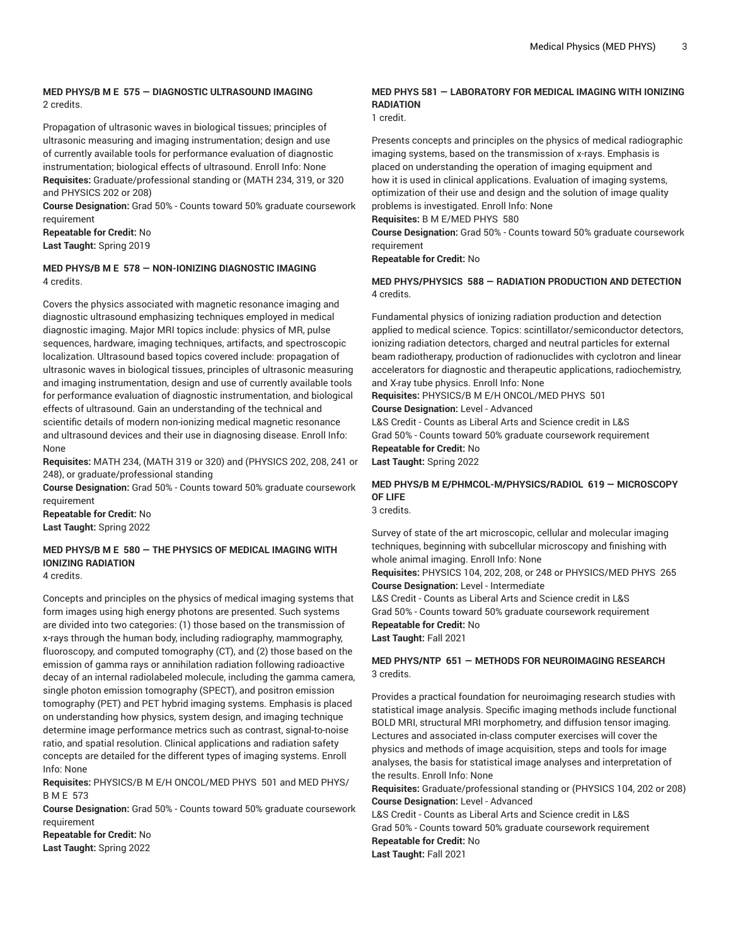#### **MED PHYS/B M E 575 — DIAGNOSTIC ULTRASOUND IMAGING** 2 credits.

Propagation of ultrasonic waves in biological tissues; principles of ultrasonic measuring and imaging instrumentation; design and use of currently available tools for performance evaluation of diagnostic instrumentation; biological effects of ultrasound. Enroll Info: None **Requisites:** Graduate/professional standing or (MATH 234, 319, or 320 and PHYSICS 202 or 208)

**Course Designation:** Grad 50% - Counts toward 50% graduate coursework requirement

**Repeatable for Credit:** No **Last Taught:** Spring 2019

#### **MED PHYS/B M E 578 — NON-IONIZING DIAGNOSTIC IMAGING** 4 credits.

Covers the physics associated with magnetic resonance imaging and diagnostic ultrasound emphasizing techniques employed in medical diagnostic imaging. Major MRI topics include: physics of MR, pulse sequences, hardware, imaging techniques, artifacts, and spectroscopic localization. Ultrasound based topics covered include: propagation of ultrasonic waves in biological tissues, principles of ultrasonic measuring and imaging instrumentation, design and use of currently available tools for performance evaluation of diagnostic instrumentation, and biological effects of ultrasound. Gain an understanding of the technical and scientific details of modern non-ionizing medical magnetic resonance and ultrasound devices and their use in diagnosing disease. Enroll Info: None

**Requisites:** MATH 234, (MATH 319 or 320) and (PHYSICS 202, 208, 241 or 248), or graduate/professional standing

**Course Designation:** Grad 50% - Counts toward 50% graduate coursework requirement

**Repeatable for Credit:** No **Last Taught:** Spring 2022

## **MED PHYS/B M E 580 — THE PHYSICS OF MEDICAL IMAGING WITH IONIZING RADIATION**

4 credits.

Concepts and principles on the physics of medical imaging systems that form images using high energy photons are presented. Such systems are divided into two categories: (1) those based on the transmission of x-rays through the human body, including radiography, mammography, fluoroscopy, and computed tomography (CT), and (2) those based on the emission of gamma rays or annihilation radiation following radioactive decay of an internal radiolabeled molecule, including the gamma camera, single photon emission tomography (SPECT), and positron emission tomography (PET) and PET hybrid imaging systems. Emphasis is placed on understanding how physics, system design, and imaging technique determine image performance metrics such as contrast, signal-to-noise ratio, and spatial resolution. Clinical applications and radiation safety concepts are detailed for the different types of imaging systems. Enroll Info: None

**Requisites:** PHYSICS/B M E/H ONCOL/MED PHYS 501 and MED PHYS/ B M E 573

**Course Designation:** Grad 50% - Counts toward 50% graduate coursework requirement

**Repeatable for Credit:** No **Last Taught:** Spring 2022

#### **MED PHYS 581 — LABORATORY FOR MEDICAL IMAGING WITH IONIZING RADIATION**

1 credit.

Presents concepts and principles on the physics of medical radiographic imaging systems, based on the transmission of x-rays. Emphasis is placed on understanding the operation of imaging equipment and how it is used in clinical applications. Evaluation of imaging systems, optimization of their use and design and the solution of image quality problems is investigated. Enroll Info: None

**Requisites:** B M E/MED PHYS 580

**Course Designation:** Grad 50% - Counts toward 50% graduate coursework requirement

**Repeatable for Credit:** No

#### **MED PHYS/PHYSICS 588 — RADIATION PRODUCTION AND DETECTION** 4 credits.

Fundamental physics of ionizing radiation production and detection applied to medical science. Topics: scintillator/semiconductor detectors, ionizing radiation detectors, charged and neutral particles for external beam radiotherapy, production of radionuclides with cyclotron and linear accelerators for diagnostic and therapeutic applications, radiochemistry, and X-ray tube physics. Enroll Info: None

**Requisites:** PHYSICS/B M E/H ONCOL/MED PHYS 501 **Course Designation:** Level - Advanced

L&S Credit - Counts as Liberal Arts and Science credit in L&S Grad 50% - Counts toward 50% graduate coursework requirement **Repeatable for Credit:** No

**Last Taught:** Spring 2022

## **MED PHYS/B M E/PHMCOL-M/PHYSICS/RADIOL 619 — MICROSCOPY OF LIFE**

3 credits.

Survey of state of the art microscopic, cellular and molecular imaging techniques, beginning with subcellular microscopy and finishing with whole animal imaging. Enroll Info: None

**Requisites:** PHYSICS 104, 202, 208, or 248 or PHYSICS/MED PHYS 265 **Course Designation:** Level - Intermediate

L&S Credit - Counts as Liberal Arts and Science credit in L&S Grad 50% - Counts toward 50% graduate coursework requirement **Repeatable for Credit:** No **Last Taught:** Fall 2021

#### **MED PHYS/NTP 651 — METHODS FOR NEUROIMAGING RESEARCH** 3 credits.

Provides a practical foundation for neuroimaging research studies with statistical image analysis. Specific imaging methods include functional BOLD MRI, structural MRI morphometry, and diffusion tensor imaging. Lectures and associated in-class computer exercises will cover the physics and methods of image acquisition, steps and tools for image analyses, the basis for statistical image analyses and interpretation of the results. Enroll Info: None

**Requisites:** Graduate/professional standing or (PHYSICS 104, 202 or 208) **Course Designation:** Level - Advanced

L&S Credit - Counts as Liberal Arts and Science credit in L&S Grad 50% - Counts toward 50% graduate coursework requirement **Repeatable for Credit:** No **Last Taught:** Fall 2021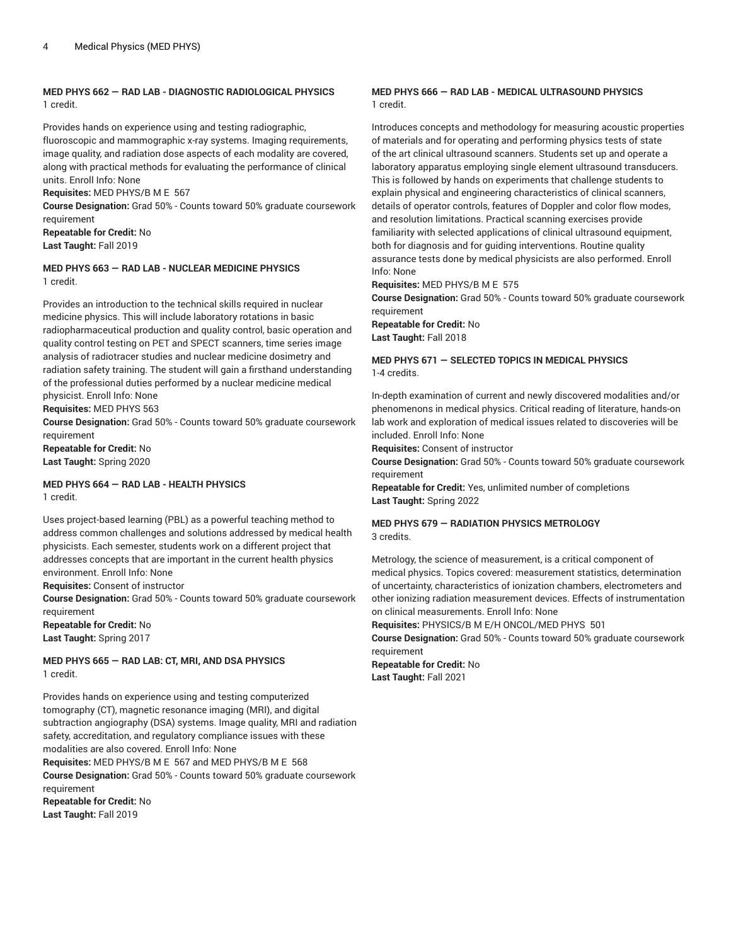#### **MED PHYS 662 — RAD LAB - DIAGNOSTIC RADIOLOGICAL PHYSICS** 1 credit.

Provides hands on experience using and testing radiographic,

fluoroscopic and mammographic x-ray systems. Imaging requirements, image quality, and radiation dose aspects of each modality are covered, along with practical methods for evaluating the performance of clinical units. Enroll Info: None

**Requisites:** MED PHYS/B M E 567

**Course Designation:** Grad 50% - Counts toward 50% graduate coursework requirement

**Repeatable for Credit:** No **Last Taught:** Fall 2019

#### **MED PHYS 663 — RAD LAB - NUCLEAR MEDICINE PHYSICS** 1 credit.

Provides an introduction to the technical skills required in nuclear medicine physics. This will include laboratory rotations in basic radiopharmaceutical production and quality control, basic operation and quality control testing on PET and SPECT scanners, time series image analysis of radiotracer studies and nuclear medicine dosimetry and radiation safety training. The student will gain a firsthand understanding of the professional duties performed by a nuclear medicine medical physicist. Enroll Info: None

**Requisites:** MED PHYS 563

**Course Designation:** Grad 50% - Counts toward 50% graduate coursework requirement **Repeatable for Credit:** No

**Last Taught:** Spring 2020

#### **MED PHYS 664 — RAD LAB - HEALTH PHYSICS** 1 credit.

Uses project-based learning (PBL) as a powerful teaching method to address common challenges and solutions addressed by medical health physicists. Each semester, students work on a different project that addresses concepts that are important in the current health physics environment. Enroll Info: None

**Requisites:** Consent of instructor

**Course Designation:** Grad 50% - Counts toward 50% graduate coursework requirement **Repeatable for Credit:** No

**Last Taught:** Spring 2017

#### **MED PHYS 665 — RAD LAB: CT, MRI, AND DSA PHYSICS** 1 credit.

Provides hands on experience using and testing computerized tomography (CT), magnetic resonance imaging (MRI), and digital subtraction angiography (DSA) systems. Image quality, MRI and radiation safety, accreditation, and regulatory compliance issues with these modalities are also covered. Enroll Info: None **Requisites:** MED PHYS/B M E 567 and MED PHYS/B M E 568

**Course Designation:** Grad 50% - Counts toward 50% graduate coursework requirement

**Repeatable for Credit:** No **Last Taught:** Fall 2019

#### **MED PHYS 666 — RAD LAB - MEDICAL ULTRASOUND PHYSICS** 1 credit.

Introduces concepts and methodology for measuring acoustic properties of materials and for operating and performing physics tests of state of the art clinical ultrasound scanners. Students set up and operate a laboratory apparatus employing single element ultrasound transducers. This is followed by hands on experiments that challenge students to explain physical and engineering characteristics of clinical scanners, details of operator controls, features of Doppler and color flow modes, and resolution limitations. Practical scanning exercises provide familiarity with selected applications of clinical ultrasound equipment, both for diagnosis and for guiding interventions. Routine quality assurance tests done by medical physicists are also performed. Enroll Info: None

**Requisites:** MED PHYS/B M E 575

**Course Designation:** Grad 50% - Counts toward 50% graduate coursework requirement

**Repeatable for Credit:** No **Last Taught:** Fall 2018

#### **MED PHYS 671 — SELECTED TOPICS IN MEDICAL PHYSICS** 1-4 credits.

In-depth examination of current and newly discovered modalities and/or phenomenons in medical physics. Critical reading of literature, hands-on lab work and exploration of medical issues related to discoveries will be included. Enroll Info: None

**Requisites:** Consent of instructor

**Course Designation:** Grad 50% - Counts toward 50% graduate coursework requirement

**Repeatable for Credit:** Yes, unlimited number of completions **Last Taught:** Spring 2022

#### **MED PHYS 679 — RADIATION PHYSICS METROLOGY** 3 credits.

Metrology, the science of measurement, is a critical component of medical physics. Topics covered: measurement statistics, determination of uncertainty, characteristics of ionization chambers, electrometers and other ionizing radiation measurement devices. Effects of instrumentation on clinical measurements. Enroll Info: None

**Requisites:** PHYSICS/B M E/H ONCOL/MED PHYS 501

**Course Designation:** Grad 50% - Counts toward 50% graduate coursework requirement

**Repeatable for Credit:** No **Last Taught:** Fall 2021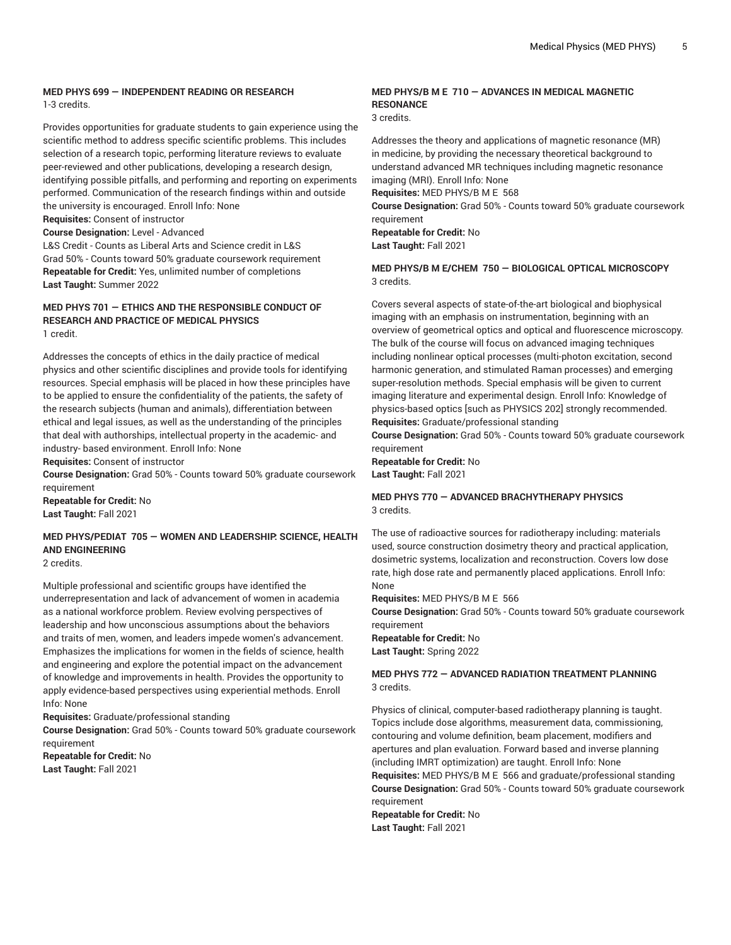#### **MED PHYS 699 — INDEPENDENT READING OR RESEARCH** 1-3 credits.

Provides opportunities for graduate students to gain experience using the scientific method to address specific scientific problems. This includes selection of a research topic, performing literature reviews to evaluate peer-reviewed and other publications, developing a research design, identifying possible pitfalls, and performing and reporting on experiments performed. Communication of the research findings within and outside the university is encouraged. Enroll Info: None

**Requisites:** Consent of instructor

**Course Designation:** Level - Advanced

L&S Credit - Counts as Liberal Arts and Science credit in L&S Grad 50% - Counts toward 50% graduate coursework requirement **Repeatable for Credit:** Yes, unlimited number of completions **Last Taught:** Summer 2022

#### **MED PHYS 701 — ETHICS AND THE RESPONSIBLE CONDUCT OF RESEARCH AND PRACTICE OF MEDICAL PHYSICS** 1 credit.

Addresses the concepts of ethics in the daily practice of medical physics and other scientific disciplines and provide tools for identifying resources. Special emphasis will be placed in how these principles have to be applied to ensure the confidentiality of the patients, the safety of the research subjects (human and animals), differentiation between ethical and legal issues, as well as the understanding of the principles that deal with authorships, intellectual property in the academic- and industry- based environment. Enroll Info: None

**Requisites:** Consent of instructor

**Course Designation:** Grad 50% - Counts toward 50% graduate coursework requirement

**Repeatable for Credit:** No **Last Taught:** Fall 2021

## **MED PHYS/PEDIAT 705 — WOMEN AND LEADERSHIP: SCIENCE, HEALTH AND ENGINEERING**

2 credits.

Multiple professional and scientific groups have identified the underrepresentation and lack of advancement of women in academia as a national workforce problem. Review evolving perspectives of leadership and how unconscious assumptions about the behaviors and traits of men, women, and leaders impede women's advancement. Emphasizes the implications for women in the fields of science, health and engineering and explore the potential impact on the advancement of knowledge and improvements in health. Provides the opportunity to apply evidence-based perspectives using experiential methods. Enroll Info: None

**Requisites:** Graduate/professional standing

**Course Designation:** Grad 50% - Counts toward 50% graduate coursework requirement

**Repeatable for Credit:** No **Last Taught:** Fall 2021

#### **MED PHYS/B M E 710 — ADVANCES IN MEDICAL MAGNETIC RESONANCE**

3 credits.

Addresses the theory and applications of magnetic resonance (MR) in medicine, by providing the necessary theoretical background to understand advanced MR techniques including magnetic resonance imaging (MRI). Enroll Info: None

**Requisites:** MED PHYS/B M E 568

**Course Designation:** Grad 50% - Counts toward 50% graduate coursework requirement

**Repeatable for Credit:** No **Last Taught:** Fall 2021

#### **MED PHYS/B M E/CHEM 750 — BIOLOGICAL OPTICAL MICROSCOPY** 3 credits.

Covers several aspects of state-of-the-art biological and biophysical imaging with an emphasis on instrumentation, beginning with an overview of geometrical optics and optical and fluorescence microscopy. The bulk of the course will focus on advanced imaging techniques including nonlinear optical processes (multi-photon excitation, second harmonic generation, and stimulated Raman processes) and emerging super-resolution methods. Special emphasis will be given to current imaging literature and experimental design. Enroll Info: Knowledge of physics-based optics [such as PHYSICS 202] strongly recommended. **Requisites:** Graduate/professional standing

**Course Designation:** Grad 50% - Counts toward 50% graduate coursework requirement

**Repeatable for Credit:** No **Last Taught:** Fall 2021

#### **MED PHYS 770 — ADVANCED BRACHYTHERAPY PHYSICS** 3 credits.

The use of radioactive sources for radiotherapy including: materials used, source construction dosimetry theory and practical application, dosimetric systems, localization and reconstruction. Covers low dose rate, high dose rate and permanently placed applications. Enroll Info: None

**Requisites:** MED PHYS/B M E 566

**Course Designation:** Grad 50% - Counts toward 50% graduate coursework requirement

**Repeatable for Credit:** No **Last Taught:** Spring 2022

#### **MED PHYS 772 — ADVANCED RADIATION TREATMENT PLANNING** 3 credits.

Physics of clinical, computer-based radiotherapy planning is taught. Topics include dose algorithms, measurement data, commissioning, contouring and volume definition, beam placement, modifiers and apertures and plan evaluation. Forward based and inverse planning (including IMRT optimization) are taught. Enroll Info: None **Requisites:** MED PHYS/B M E 566 and graduate/professional standing **Course Designation:** Grad 50% - Counts toward 50% graduate coursework requirement

**Repeatable for Credit:** No **Last Taught:** Fall 2021